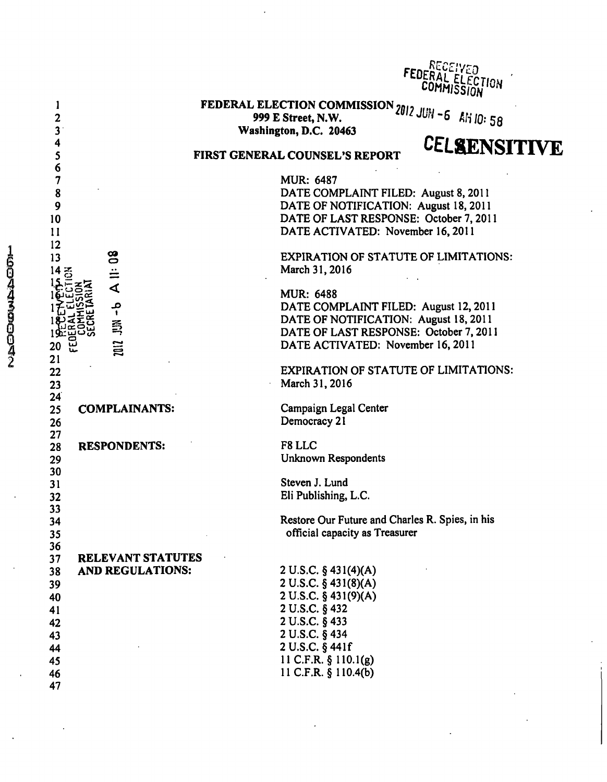|                                                                                                                                                                                                                                                                                                                                                                                                                                                                                                                         | <u>R</u> ECEIVED<br>FEDERAL ELECTION                                                         |
|-------------------------------------------------------------------------------------------------------------------------------------------------------------------------------------------------------------------------------------------------------------------------------------------------------------------------------------------------------------------------------------------------------------------------------------------------------------------------------------------------------------------------|----------------------------------------------------------------------------------------------|
| <b>FEDERAL ELECTION COMMISSION</b> 2012 JUN -6 $\hat{k}$ H 10: 58<br>1                                                                                                                                                                                                                                                                                                                                                                                                                                                  |                                                                                              |
| 2<br>3<br>Washington, D.C. 20463                                                                                                                                                                                                                                                                                                                                                                                                                                                                                        |                                                                                              |
| 4<br>5<br>FIRST GENERAL COUNSEL'S REPORT                                                                                                                                                                                                                                                                                                                                                                                                                                                                                | <b>CELSENSITIVE</b>                                                                          |
| 6<br>7<br><b>MUR: 6487</b><br>8<br>DATE COMPLAINT FILED: August 8, 2011<br>9<br>DATE OF NOTIFICATION: August 18, 2011<br>DATE OF LAST RESPONSE: October 7, 2011<br>10<br>11<br>DATE ACTIVATED: November 16, 2011<br>12<br>$\frac{8}{2}$<br>13<br>March 31, 2016<br>$\frac{1}{4}$<br>14<br>중<br><b>MUR: 6488</b><br>$-5$<br>DATE COMPLAINT FILED: August 12, 2011<br>DATE OF NOTIFICATION: August 18, 2011<br>DATE OF LAST RESPONSE: October 7, 2011<br>2012<br>DATE ACTIVATED: November 16, 2011<br>山<br>20<br>21<br>22 | <b>EXPIRATION OF STATUTE OF LIMITATIONS:</b><br><b>EXPIRATION OF STATUTE OF LIMITATIONS:</b> |
| March 31, 2016<br>23<br>24<br>Campaign Legal Center<br>25<br><b>COMPLAINANTS:</b>                                                                                                                                                                                                                                                                                                                                                                                                                                       |                                                                                              |
| Democracy 21<br>26<br>27<br>F8 LLC<br><b>RESPONDENTS:</b><br>28<br>Unknown Respondents<br>29                                                                                                                                                                                                                                                                                                                                                                                                                            |                                                                                              |
| 30<br>Steven J. Lund<br>31<br>Eli Publishing, L.C.<br>32                                                                                                                                                                                                                                                                                                                                                                                                                                                                |                                                                                              |
| 33<br>Restore Our Future and Charles R. Spies, in his<br>34<br>official capacity as Treasurer<br>35                                                                                                                                                                                                                                                                                                                                                                                                                     |                                                                                              |
| 36<br><b>RELEVANT STATUTES</b><br>37<br>2 U.S.C. § 431(4)(A)<br><b>AND REGULATIONS:</b><br>38<br>2 U.S.C. § 431(8)(A)<br>39<br>2 U.S.C. § 431(9)(A)<br>40<br>2 U.S.C. § 432<br>41<br>2 U.S.C. § 433<br>42<br>2 U.S.C. § 434<br>43<br>2 U.S.C. § 441f<br>44<br>11 C.F.R. § 110.1(g)<br>45<br>11 C.F.R. § 110.4(b)<br>46<br>47                                                                                                                                                                                            |                                                                                              |

 $\ddot{\phantom{a}}$ 

1604330042

 $\ddot{\phantom{a}}$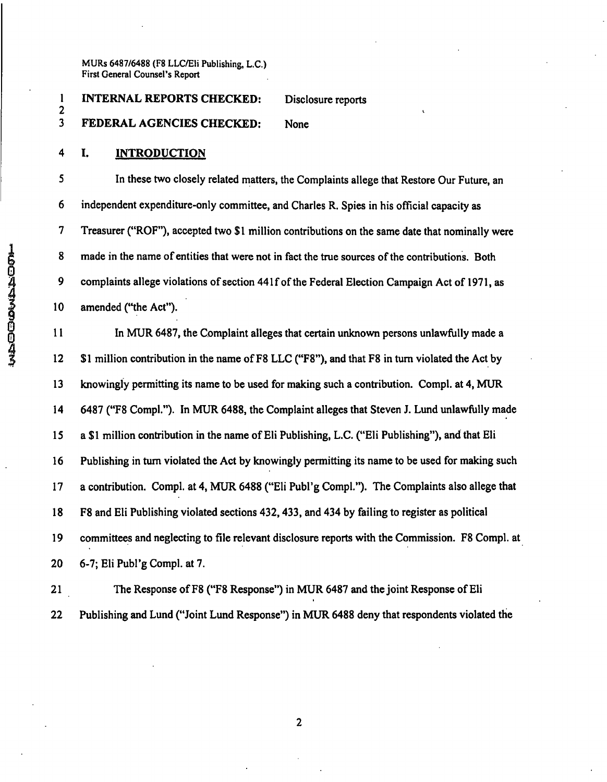## 1 INTERNAL REPORTS CHECKED: Disclosure reports 2 **2 I**  3 FEDERAL AGENCIES CHECKED: None

**4 I. INTRODUCTION** 

5 In these two closely related matters, the Complaints allege that Restore Our Future, an 6 independent expenditure-only committee, and Charles R. Spies in his official capacity as 7 Treasurer ("ROF"), accepted two \$1 million contributions on the same date that nominally were 8 made in the name of entities that were not in fact the true sources of the contributions. Both 9 complaints allege violations of section 441f of the Federal Election Campaign Act of 1971, as 10 amended ("the Act").

11 In MUR 6487, the Complaint alleges that certain unknown persons unlawfully made a 12 \$1 million contribution in the name of F8 LLC ("F8"), and that F8 in turn violated the Act by 13 knowingly permitting its name to be used for making such a contribution. Compl. at 4, MUR 14 6487 ("F8 Compl."). In MUR 6488, the Complaint alleges that Steven J. Lund unlawfully made 15 a \$I million contribution in the name of Eli Publishing, L.C. ("Eli Publishing"), and that Eli 16 Publishing in turn violated the Act by knowingly permitting its name to be used for making such 17 a contribution. Compl. at 4, MUR 6488 ("Eli Publ'g Compl."). The Complaints also allege that 18 F8 and Eli Publishing violated sections 432,433, and 434 by failing to register as political 19 committees and neglecting to file relevant disclosure reports with the Commission. F8 Compl. at 20 6-7; Eli Publ'g Compl. at 7.

21 The Response of F8 ("F8 Response") in MUR 6487 and the joint Response of Eli 22 Publishing and Lund ("Joint Lund Response") in MUR 6488 deny that respondents violated the

 $\overline{2}$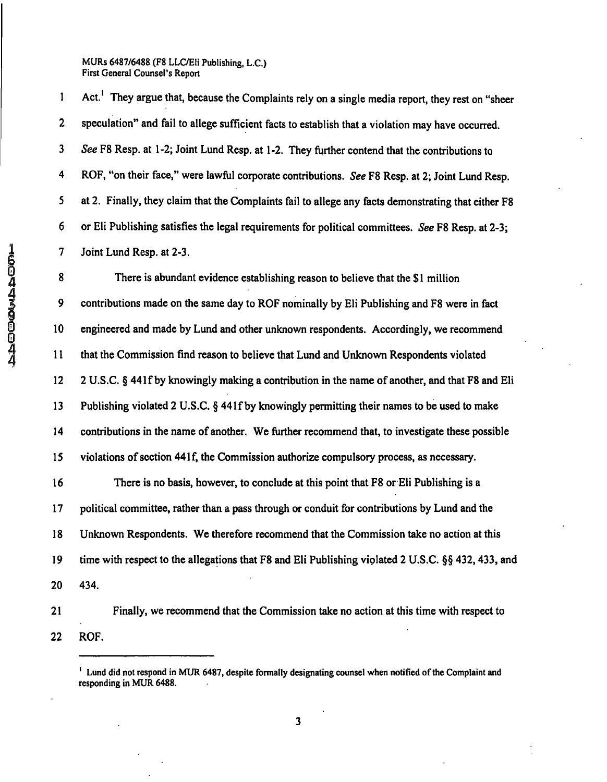1 Act.<sup>1</sup> They argue that, because the Complaints rely on a single media report, they rest on "sheer 2 speculation" and fail to allege sufficient facts to establish that a violation may have occurred. 3 See F8 Resp. at 1-2; Joint Lund Resp. at 1-2. They further contend that the contributions to 4 ROF, "on their face," were lawful corporate contributions. See F8 Resp. at 2; Joint Lund Resp. 5 at 2. Finally, they claim that the Complaints fail to allege any facts demonstrating that either F8 6 or Eli Publishing satisfies the legal requirements for political committees. See F8 Resp. at 2-3; 7 Joint Lund Resp. at 2-3.

8 There is abundant evidence establishing reason to believe that the \$1 million 9 contributions made on the same day to ROF nominally by Eli Publishing and F8 were in fact 0 10 engineered and made by Lund and other unknown respondents. Accordingly, we recommend ^ 11 that the Commission find reason to believe that Lund and Unknown Respondents violated 12 2 U.S.C. § 44 If by knowingly making a contribution in the name of another, and that F8 and Eli 13 Publishing violated 2 U.S.C. § 441f by knowingly permitting their names to be used to make 14 contributions in the name of another. We further recommend that, to investigate these possible 15 violations of section 441 f, the Commission authorize compulsory process, as necessary. 16 There is no basis, however, to conclude at this point that F8 or Eli Publishing is a 17 political committee, rather than a pass through or conduit for contributions by Lund and the 18 Unknown Respondents. We therefore recommend that the Commission take no action at this 19 time with respect to the allegations that F8 and Eli Publishing violated 2 U.S.C. §§ 432,433, and 20 434.

21 Finally, we recommend that the Commission take no action at this time with respect to 22 ROF.

 $\mathbf{3}$ 

<sup>&#</sup>x27; Lund did not respond in MUR 6487, despite formally designating counsel when notified of the Complaint and responding in MUR 6488.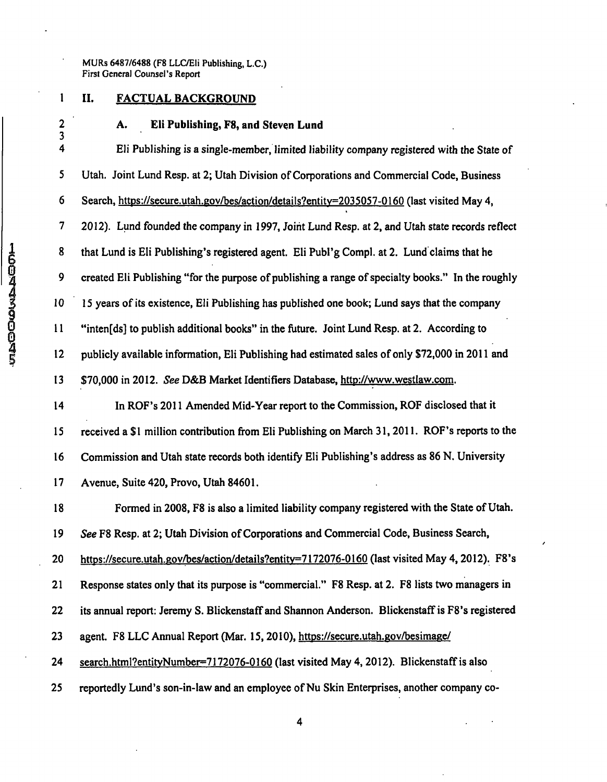# **1 II. FACTUAL BACKGROUND**

# **2 A. Eli Publishing, F8, and Steven Lund**

 $\frac{3}{4}$ 4 Eli Publishing is a single-member, limited liability company registered with the State of 5 Utah. Joint Lund Resp. at 2; Utah Division of Corporations and Commercial Code, Business 6 Search, https://secure.utah.gov/bes/action/details?entitv=2035057-0160 (last visited May 4, 7 2012). Lund founded the company in 1997, Joint Lund Resp. at 2, and Utah state records reflect 8 that Lund is Eli Publishing's registered agent. Eli Publ'g Compl. at 2. Lund claims that he 9 created Eli Publishing "for the purpose of publishing a range of specialty books." In the roughly 10 IS years of its existence, Eli Publishing has published one book; Lund says that the company 11 "inten[ds] to publish additional books" in the future. Joint Lund Resp. at 2. According to 12 publicly available information, Eli Publishing had estimated sales of only S72,000 in 2011 and 13 \$70,000 in 2012. See D&B Market Identifiers Database, http://www.westlaw.com. 14 In ROF's 2011 Amended Mid-Year report to the Commission, ROE disclosed that it 15 received a \$ 1 million contribution from Eli Publishing on March 31, 2011. ROF's reports to the 16 Commission and Utah state records both identify Eli Publishing's address as 86 N. University 17 Avenue, Suite 420, Provo, Utah 84601. 18 Formed in 2008, F8 is also a limited liability company registered with the State of Utah. 19 See F8 Resp. at 2; Utah Division of Corporations and Commercial Code, Business Search, 20 https://secure.utah.gov/bes/action/details?entitv=7172076-0160 (last visited May 4.2012). F8's 21 Response states only that its purpose is "commercial." F8 Resp. at 2. F8 lists two managers in 22 its annual report: Jeremy S. Blickenstaff and Shannon Anderson. BlickenstafFis F8's registered

23 agent. F8 LLC Annual Report (Mar. 15, 2010), https://secure.utah.gov/besimage/

24 search.html?entityNumber=7172076-0160 (last visited May 4, 2012). Blickenstaff is also

25 reportedly Lund's son-in-law and an employee of Nu Skin Enterprises, another company co-

**ISO00459000459**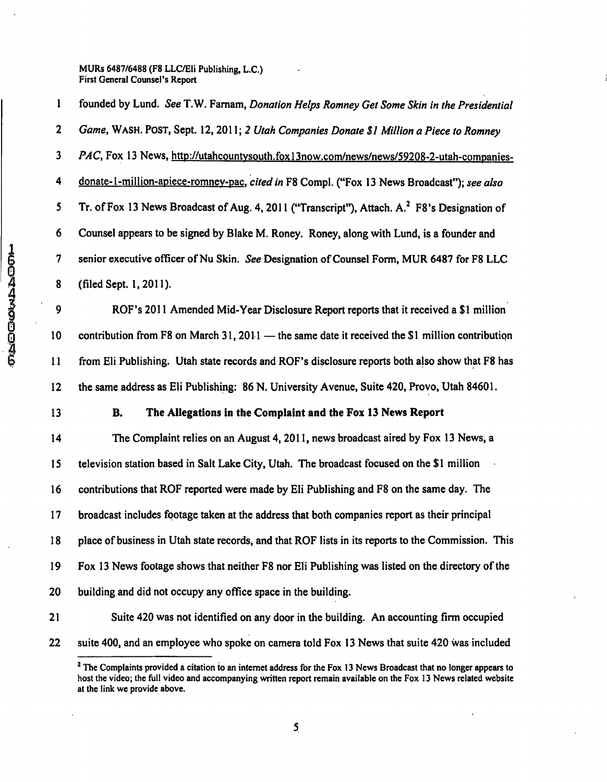*1 founded by Lund. See T.W. Famam, Donation Helps Romney Get Some Skin in the Presidential 2 Game, WASH. POST, Sept. 12, 2011; 2 Utah Companies Donate \$1 Million a Piece to Romney*  3 PAC, Fox 13 News, http://utahcountysouth.fox13now.com/news/news/59208-2-utah-companies-*4 donate-1 -million-apiece-romnev-pac. cited in F8 Compl. ("Fox 13 News Broadcast"); see also*  5 Tr. of Fox 13 News Broadcast of Aug. 4, 2011 ("Transcript"), Attach. A.<sup>2</sup> F8's Designation of 6 Counsel appears to be signed by Blake M. Roney. Roney, along with Lund, is a founder and 7 senior executive officer of Nu Skin. See Designation of Counsel Form, MUR 6487 for F8 LLC 8 (filed Sept. 1,2011).

9 ROF's 2011 Amended Mid-Year Disclosure Report reports that it received a \$1 million 10 contribution from F8 on March 31,2011 — the same date it received the \$1 million contribution 11 from Eli Publishing. Utah state records and ROF's disclosure reports both also show that F8 has 12 the same address as Eli Publishing: 86 N. University Avenue, Suite 420, Provo, Utah 84601.

# **13 B. The Allegations in the Complaint and the Fox 13 News Report**

14 The Complaint relies on an August 4, 2011, news broadcast aired by Fox 13 News, a 15 television station based in Salt Lake City, Utah. The broadcast focused on the \$1 million 16 contributions that ROF reported were made by Eli Publishing and F8 on the same day. The 17 broadcast includes footage taken at the address that both companies report as their principal 18 place of business in Utah state records, and that ROF lists in its reports to the Commission. This 19 Fox 13 News footage shows that neither F8 nor Eli Publishing was listed on the directory of the 20 building and did not occupy any office space in the building.

- 21 Suite 420 was not identified on any door in the building. An accounting firm occupied
- 22 suite 400, and an employee who spoke on camera told Fox 13 News that suite 420 was included

<sup>&</sup>lt;sup>2</sup> The Complaints provided a citation to an internet address for the Fox 13 News Broadcast that no longer appears to host the video; the full video and accompanying written report remain available on the Fox 13 News related website at the link we provide above.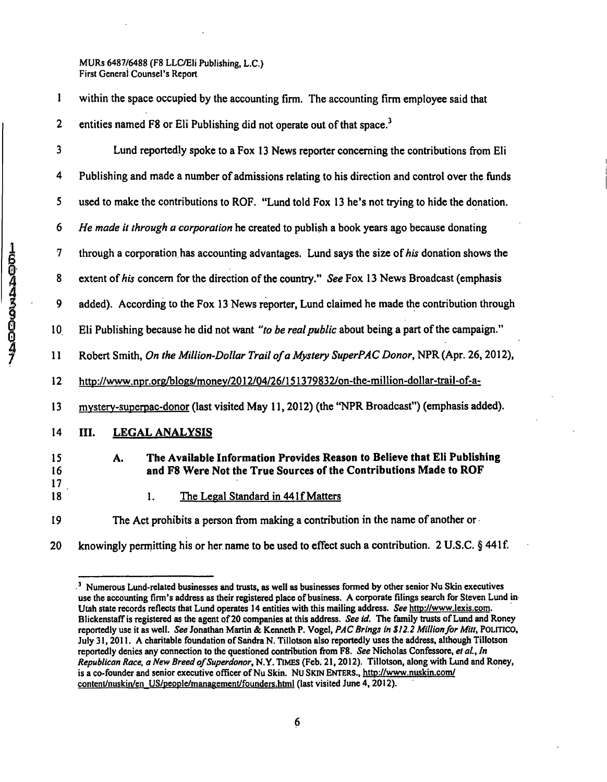| within the space occupied by the accounting firm. The accounting firm employee said that |
|------------------------------------------------------------------------------------------|
| entities named F8 or Eli Publishing did not operate out of that space. <sup>3</sup>      |

3 Lund reportedly spoke to a Fox 13 News reporter concerning the contributions from Eli 4 Publishing and made a number of admissions relating to his direction and control over the funds 5 used to make the contributions to ROF. "Lund told Fox 13 he's not trying to hide the donation. 6 He made it through a corporation he created to publish a book years ago because donating 7 through a corporation has accounting advantages. Lund says the size of his donation shows the 8 extent of his concern for the direction of the country." See Fox 13 News Broadcast (emphasis 9 added). According to the Fox 13 News reporter, Lund claimed he made the contribution through 10. Eli Publishing because he did not want "to be real public about being a part of the campaign." 11 Robert Smith, On the Million-Dollar Trail of a Mystery SuperPAC Donor, NPR (Apr. 26, 2012), 12 http://www.npr.org/blogs/monev/2012/04/26/151379832/on-the-million-dollar-trail-of-a-13 mystery-superpac-donor (last visited May 11, 2012) (the "NPR Broadcast") (emphasis added). **14 III. LEGAL ANALYSIS 15 A. The Available Information Provides Reason to Believe that Ell Publishing 16 and F8 Were Not the True Sources of the Contributions Made to ROF**  17 18 1. The Legal Standard in 441 f Matters

19 The Act prohibits a person from making a contribution in the name of another or

20 knowingly permitting his or her name to be used to effect such a contribution. 2 U.S.C. § 441f.

<sup>&</sup>lt;sup>3</sup> Numerous Lund-related businesses and trusts, as well as businesses formed by other senior Nu Skin executives **use the accounting firm's address as their registered place of business. A corporate filings search for Steven Lund in Utah state records reflects that Lund operates 14 entities with this mailing address. See [http://wvyw.lexis.com.](http://wvyw.lexis.com) Blickenstaff is registered as the agent of 20 companies at this address. See id. The family trusts of Lund and Roney reportedly use it as well. See Jonathan Martin & Kenneth P. Vogel, PAC Brings in \$12.2 Million for Mitt, POLITICO, July 31,2011. A charitable foundation of Sandra N. Tillotson also reportedly uses the address, although Tillotson**  reportedly denies any connection to the questioned contribution from F8. See Nicholas Confessore, et al., In **Republican Race, a New Breed of Superdonor, N.Y. TIMES (Feb. 21,2012). Tillotson, along with Lund and Roney, is a co-founder and senior executive officer of Nu Skin. Nu SKIN ENTERS., http://www.nuskin.com/**  content/nuskin/en US/people/management/founders.html (last visited June 4, 2012).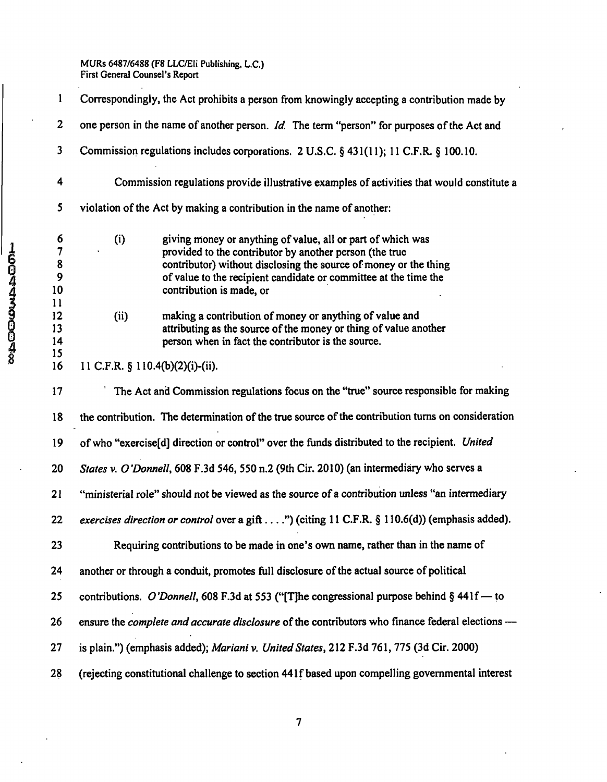|             |                                         | Correspondingly, the Act prohibits a person from knowingly accepting a contribution made by                                                                                                                                                                                                       |
|-------------|-----------------------------------------|---------------------------------------------------------------------------------------------------------------------------------------------------------------------------------------------------------------------------------------------------------------------------------------------------|
|             | $\boldsymbol{2}$                        | one person in the name of another person. Id. The term "person" for purposes of the Act and                                                                                                                                                                                                       |
|             | 3                                       | Commission regulations includes corporations. 2 U.S.C. § 431(11); 11 C.F.R. § 100.10.                                                                                                                                                                                                             |
|             | 4                                       | Commission regulations provide illustrative examples of activities that would constitute a                                                                                                                                                                                                        |
|             | 5                                       | violation of the Act by making a contribution in the name of another:                                                                                                                                                                                                                             |
| 16044300048 | 6<br>7<br>8<br>9<br>10<br>$\mathbf{11}$ | (i)<br>giving money or anything of value, all or part of which was<br>provided to the contributor by another person (the true<br>contributor) without disclosing the source of money or the thing<br>of value to the recipient candidate or committee at the time the<br>contribution is made, or |
|             | 12<br>13<br>14<br>15                    | making a contribution of money or anything of value and<br>(ii)<br>attributing as the source of the money or thing of value another<br>person when in fact the contributor is the source.                                                                                                         |
|             | 16                                      | 11 C.F.R. § 110.4(b)(2)(i)-(ii).                                                                                                                                                                                                                                                                  |
|             | 17                                      | The Act and Commission regulations focus on the "true" source responsible for making                                                                                                                                                                                                              |
|             | 18                                      | the contribution. The determination of the true source of the contribution turns on consideration                                                                                                                                                                                                 |
|             | 19                                      | of who "exercise[d] direction or control" over the funds distributed to the recipient. United                                                                                                                                                                                                     |
|             | 20                                      | States v. O'Donnell, 608 F.3d 546, 550 n.2 (9th Cir. 2010) (an intermediary who serves a                                                                                                                                                                                                          |
|             | 21                                      | "ministerial role" should not be viewed as the source of a contribution unless "an intermediary                                                                                                                                                                                                   |
|             | 22                                      | exercises direction or control over a gift") (citing 11 C.F.R. § 110.6(d)) (emphasis added).                                                                                                                                                                                                      |
|             | 23                                      | Requiring contributions to be made in one's own name, rather than in the name of                                                                                                                                                                                                                  |
|             | 24                                      | another or through a conduit, promotes full disclosure of the actual source of political                                                                                                                                                                                                          |
|             | 25                                      | contributions. O'Donnell, 608 F.3d at 553 ("[T]he congressional purpose behind $\S$ 441f – to                                                                                                                                                                                                     |
|             | 26                                      | ensure the <i>complete and accurate disclosure</i> of the contributors who finance federal elections —                                                                                                                                                                                            |
|             | 27                                      | is plain.") (emphasis added); Mariani v. United States, 212 F.3d 761, 775 (3d Cir. 2000)                                                                                                                                                                                                          |
|             | 28                                      | (rejecting constitutional challenge to section 441f based upon compelling governmental interest                                                                                                                                                                                                   |

 $\overline{7}$ 

 $\ddot{\phantom{a}}$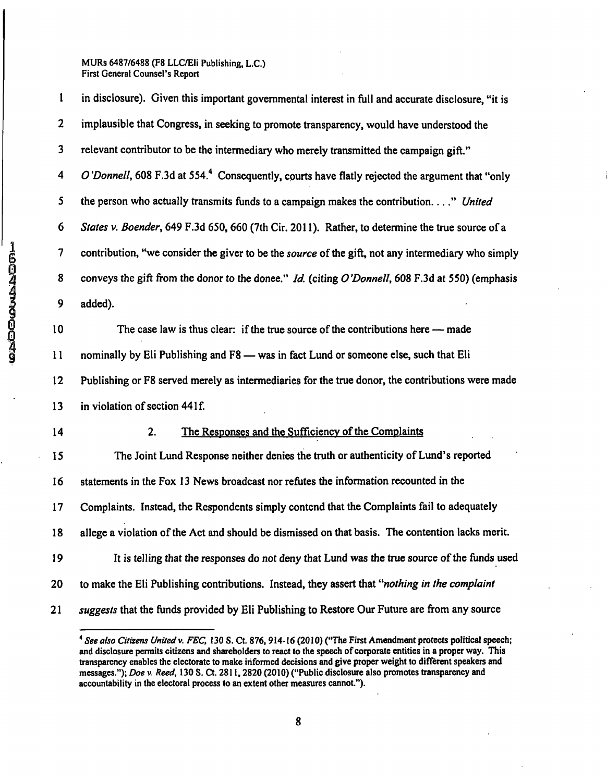1 in disclosure). Given this important governmental interest in full and accurate disclosure, "it is 2 implausible that Congress, in seeking to promote transparency, would have understood the 3 relevant contributor to be the intermediary who merely transmitted the campaign gift." 4 O'Donnell, 608 F.3d at 554.<sup>4</sup> Consequently, courts have flatly rejected the argument that "only *5 the person who actually transmits funds to a campaign makes the contribution...." United*  6 States v. Boender, 649 F.3d 650,660 (7th Cir. 2011). Rather, to determine the true source of a 7 contribution, "we consider the giver to be the *source* of the gift, not any intermediary who simply<br>
8 conveys the gift from the donor to the donee." *Id.* (citing *O'Donnell*, 608 F.3d at 550) (emphasis<br>
9 added).<br>
10 8 conveys the gift from the donor to the donee." Id. (citing O'Donnell, 608 F.3d at 550) (emphasis 9 added). 10 The case law is thus clear: if the true source of the contributions here — made 11 nominally by Eli Publishing and F8 — was in fact Lund or someone else, such that Eli 12 Publishing or F8 served merely as intermediaries for the true donor, the contributions were made 13 in violation of section 441f. 14 2. The Responses and the Sufficiency of the Complaints 15 The Joint Lund Response neither denies the truth or authenticity of Lund's reported 16 statements in the Fox 13 News broadcast nor refutes the information recounted in the 17 Complaints. Instead, the Respondents simply contend that the Complaints fail to adequately 18 allege a violation of the Act and should be dismissed on that basis. The contention lacks merit. 19 It is telling that the responses do not deny that Lund was the true source of the funds used *20 to make the Eli Publishing contributions. Instead, they assert that "nothing in the complaint*  21 suggests that the funds provided by Eli Publishing to Restore Our Future are from any source

<sup>&</sup>lt;sup>4</sup> See also Citizens United v. FEC, 130 S. Ct. 876, 914-16 (2010) ("The First Amendment protects political speech; and disclosure permits citizens and shareholders to react to the speech of corporate entities in a proper way. This transparency enables the electorate to make informed decisions and give proper weight to different speakers and messages."); Doe v. Reed, 130 S. Ct. 2811, 2820 (2010) ("Public disclosure also promotes transparency and accountability in the electoral process to an extent other measures cannot.").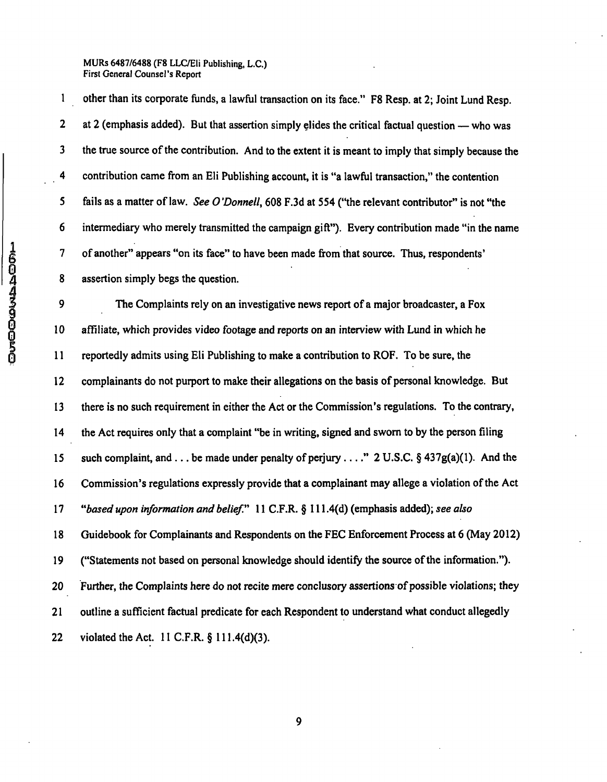1 other than its corporate funds, a lawful transaction on its face." F8 Resp. at 2; Joint Lund Resp. 2 at 2 (emphasis added). But that assertion simply elides the critical factual question — who was 3 the true source of the contribution. And to the extent it is meant to imply that simply because the 4 contribution came from an Eli Publishing account, it is "a lawful transaction," the contention 5 fails as a matter of law. See 0 'Donnell, 608 F.3d at 554 ("the relevant contributor" is not "the 6 intermediary who merely transmitted the campaign gift"). Every contribution made "in the name 7 of another" appears "on its face" to have been made from that source. Thus, respondents' 8 assertion simply begs the question.

9 The Complaints rely on an investigative news report of a major broadcaster, a Fox 10 affiliate, which provides video footage and reports on an interview with Lund in which he 11 reportedly admits using Eli Publishing to make a contribution to ROF. To be sure, the 12 complainants do not purport to make their allegations on the basis of personal knowledge. But 13 there is no such requirement in either the Act or the Commission's regulations. To the contrary, 14 the Act requires only that a complaint "be in writing, signed and sworn to by the person filing 15 such complaint, and  $\dots$  be made under penalty of perjury  $\dots$  2 U.S.C. § 437g(a)(1). And the 16 Commission's regulations expressly provide that a complainant may allege a violation of the Act *17 "based upon information and belief." 11 C.F.R. § 111.4(d) (emphasis added); see also*  18 Guidebook for Complainants and Respondents on the FEC Enforcement Process at 6 (May 2012) 19 ("Statements not based on personal knowledge should identify the source of the information."). 20 Further, the Complaints here do not recite mere conclusory assertions of possible violations; they 21 outline a sufficient factual predicate for each Respondent to understand what conduct allegedly 22 violated the Act. 11 C.F.R. § 111.4(d)(3).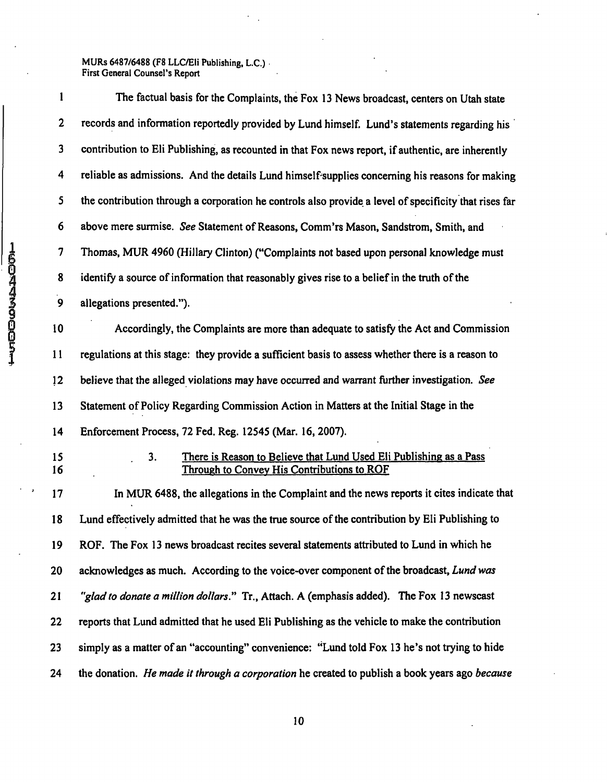$\ddot{\phantom{a}}$  $\ddot{\phantom{a}}$ 

| 1               | The factual basis for the Complaints, the Fox 13 News broadcast, centers on Utah state                                 |
|-----------------|------------------------------------------------------------------------------------------------------------------------|
| 2               | records and information reportedly provided by Lund himself. Lund's statements regarding his                           |
| $\mathbf{3}$    | contribution to Eli Publishing, as recounted in that Fox news report, if authentic, are inherently                     |
| 4               | reliable as admissions. And the details Lund himself supplies concerning his reasons for making                        |
| $5\overline{)}$ | the contribution through a corporation he controls also provide a level of specificity that rises far                  |
| 6               | above mere surmise. See Statement of Reasons, Comm'rs Mason, Sandstrom, Smith, and                                     |
| 7               | Thomas, MUR 4960 (Hillary Clinton) ("Complaints not based upon personal knowledge must                                 |
| 8               | identify a source of information that reasonably gives rise to a belief in the truth of the                            |
| 9               | allegations presented.").                                                                                              |
| 10              | Accordingly, the Complaints are more than adequate to satisfy the Act and Commission                                   |
| 11              | regulations at this stage: they provide a sufficient basis to assess whether there is a reason to                      |
| 12              | believe that the alleged violations may have occurred and warrant further investigation. See                           |
| 13              | Statement of Policy Regarding Commission Action in Matters at the Initial Stage in the                                 |
| 14              | Enforcement Process, 72 Fed. Reg. 12545 (Mar. 16, 2007).                                                               |
| 15<br>16        | There is Reason to Believe that Lund Used Eli Publishing as a Pass<br>3.<br>Through to Convey His Contributions to ROF |
| 17              | In MUR 6488, the allegations in the Complaint and the news reports it cites indicate that                              |
| 18              | Lund effectively admitted that he was the true source of the contribution by Eli Publishing to                         |
| 19              | ROF. The Fox 13 news broadcast recites several statements attributed to Lund in which he                               |
| 20              | acknowledges as much. According to the voice-over component of the broadcast, Lund was                                 |
| 21              | "glad to donate a million dollars." Tr., Attach. A (emphasis added). The Fox 13 newscast                               |
| 22              | reports that Lund admitted that he used Eli Publishing as the vehicle to make the contribution                         |
| 23              | simply as a matter of an "accounting" convenience: "Lund told Fox 13 he's not trying to hide                           |
| 24              | the donation. He made it through a corporation he created to publish a book years ago because                          |

**ISOARSOODST**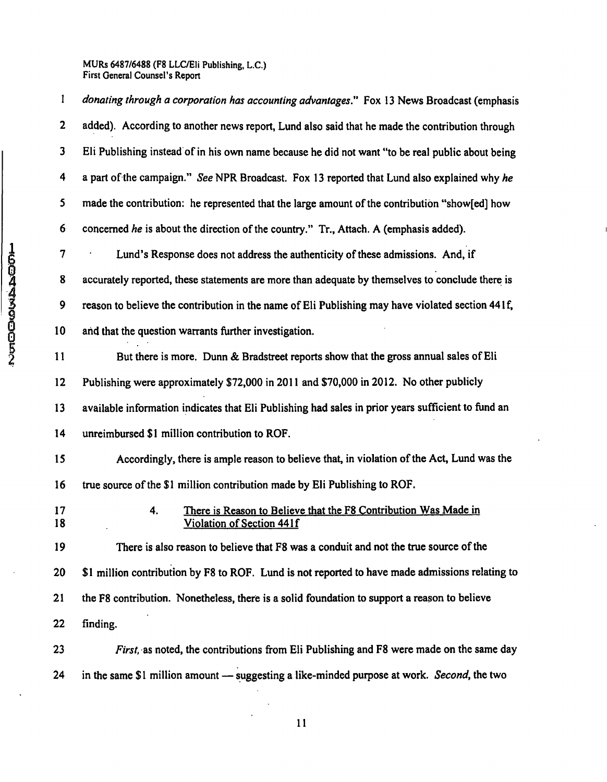|             | 1                       | donating through a corporation has accounting advantages." Fox 13 News Broadcast (emphasis         |
|-------------|-------------------------|----------------------------------------------------------------------------------------------------|
|             | $\overline{\mathbf{c}}$ | added). According to another news report, Lund also said that he made the contribution through     |
|             | $\overline{\mathbf{3}}$ | Eli Publishing instead of in his own name because he did not want "to be real public about being   |
|             | 4                       | a part of the campaign." See NPR Broadcast. Fox 13 reported that Lund also explained why he        |
|             | $5\phantom{a}$          | made the contribution: he represented that the large amount of the contribution "show[ed] how      |
|             | 6                       | concerned he is about the direction of the country." Tr., Attach. A (emphasis added).              |
|             | $\overline{\mathbf{7}}$ | Lund's Response does not address the authenticity of these admissions. And, if                     |
|             | 8                       | accurately reported, these statements are more than adequate by themselves to conclude there is    |
| 16044300052 | 9                       | reason to believe the contribution in the name of Eli Publishing may have violated section 441f,   |
|             | 10                      | and that the question warrants further investigation.                                              |
|             | 11                      | But there is more. Dunn & Bradstreet reports show that the gross annual sales of Eli               |
|             | 12                      | Publishing were approximately \$72,000 in 2011 and \$70,000 in 2012. No other publicly             |
|             | 13                      | available information indicates that Eli Publishing had sales in prior years sufficient to fund an |
|             | 14                      | unreimbursed \$1 million contribution to ROF.                                                      |
|             | 15                      | Accordingly, there is ample reason to believe that, in violation of the Act, Lund was the          |
|             | 16                      | true source of the \$1 million contribution made by Eli Publishing to ROF.                         |
|             | 17<br>18                | There is Reason to Believe that the F8 Contribution Was Made in<br>4.<br>Violation of Section 441f |
|             | 19                      | There is also reason to believe that F8 was a conduit and not the true source of the               |
|             | 20                      | \$1 million contribution by F8 to ROF. Lund is not reported to have made admissions relating to    |
|             | 21                      | the F8 contribution. Nonetheless, there is a solid foundation to support a reason to believe       |
|             | 22                      | finding.                                                                                           |
|             | 23                      | <i>First</i> , as noted, the contributions from Eli Publishing and F8 were made on the same day    |
|             | 24                      | in the same \$1 million amount — suggesting a like-minded purpose at work. Second, the two         |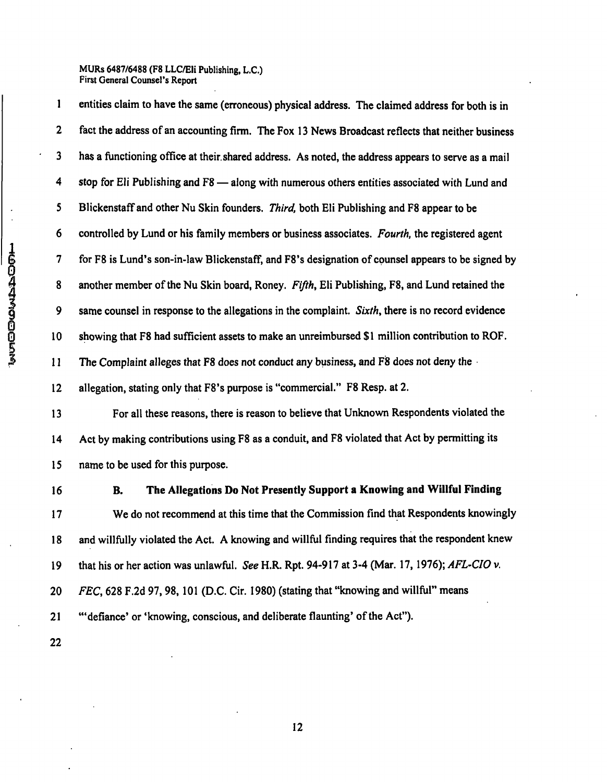1 entities claim to have the same (erroneous) physical address. The claimed address for both is in 2 fact the address of an accounting firm. The Fox 13 News Broadcast reflects that neither business 3 has a functioning office at their.shared address. As noted, the address appears to serve as a mail 4 stop for Eli Publishing and F8 — along with numerous others entities associated with Lund and 5 Blickenstaff and other Nu Skin founders. *Third*, both Eli Publishing and F8 appear to be 6 controlled by Lund or his family members or business associates. Fourth, the registered agent 7 for F8 is Lund's son-in-law Blickenstaff, and F8's designation of counsel appears to be signed by 8 another member of the Nu Skin board, Roney. Fifth, Eli Publishing, F8, and Lund retained the 9 same counsel in response to the allegations in the complaint. Sixth, there is no record evidence 10 showing that F8 had sufficient assets to make an unreimbursed \$ 1 million contribution to ROF. 11 The Complaint alleges that F8 does not conduct any business, and F8 does not deny the 12 allegation, stating only that F8's purpose is "commercial." F8 Resp. at 2. 13 For all these reasons, there is reason to believe that Unknown Respondents violated the 14 Act by making contributions using F8 as a conduit, and F8 violated that Act by permitting its 15 name to be used for this purpose.

#### **16 B. The Allegations Do Not Presently Support a Knowing and Willful Finding**

17 We do not recommend at this time that the Commission find that Respondents knowingly 18 and willfully violated the Act. A knowing and willful finding requires that the respondent knew 19 that his or her action was unlawful. See H.R. Rpt. 94-917 at 3-4 (Mar. 17, 1976); AFL-CIO v. 20 FEC, 628 F.2d 97, 98, 101 (D.C. Cir. 1980) (stating that "knowing and willful" means 21 "'defiance' or 'knowing, conscious, and deliberate flaunting' of the Act"). 22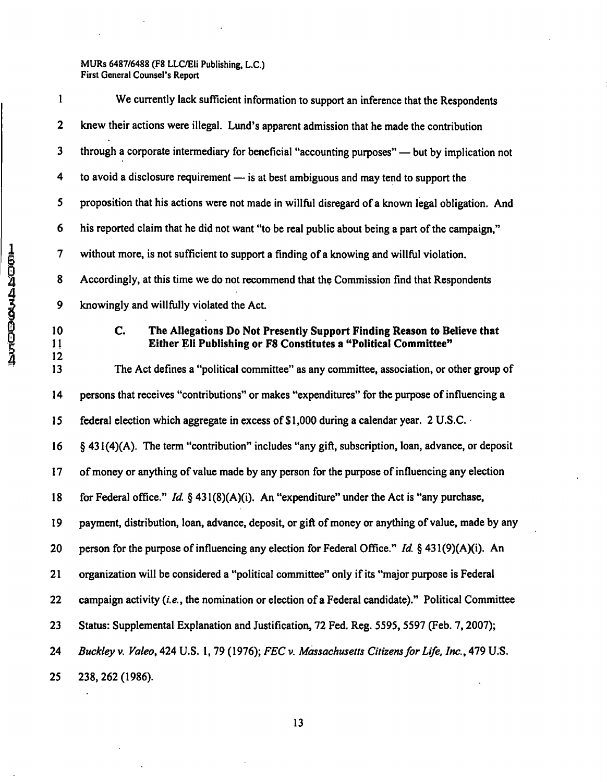| l                        | We currently lack sufficient information to support an inference that the Respondents                                                            |
|--------------------------|--------------------------------------------------------------------------------------------------------------------------------------------------|
| $\mathbf{2}$             | knew their actions were illegal. Lund's apparent admission that he made the contribution                                                         |
| 3                        | through a corporate intermediary for beneficial "accounting purposes" — but by implication not                                                   |
| 4                        | to avoid a disclosure requirement - is at best ambiguous and may tend to support the                                                             |
| 5                        | proposition that his actions were not made in willful disregard of a known legal obligation. And                                                 |
| 6                        | his reported claim that he did not want "to be real public about being a part of the campaign,"                                                  |
| $\overline{\mathcal{L}}$ | without more, is not sufficient to support a finding of a knowing and willful violation.                                                         |
| 8                        | Accordingly, at this time we do not recommend that the Commission find that Respondents                                                          |
| 9                        | knowingly and willfully violated the Act.                                                                                                        |
| 10<br>11                 | C.<br>The Allegations Do Not Presently Support Finding Reason to Believe that<br>Either Eli Publishing or F8 Constitutes a "Political Committee" |
| 12<br>13                 | The Act defines a "political committee" as any committee, association, or other group of                                                         |
| 14                       | persons that receives "contributions" or makes "expenditures" for the purpose of influencing a                                                   |
| 15                       | federal election which aggregate in excess of \$1,000 during a calendar year. 2 U.S.C.                                                           |
| 16                       | § 431(4)(A). The term "contribution" includes "any gift, subscription, loan, advance, or deposit                                                 |
| 17                       | of money or anything of value made by any person for the purpose of influencing any election                                                     |
| 18                       | for Federal office." Id. $\S$ 431(8)(A)(i). An "expenditure" under the Act is "any purchase,                                                     |
| 19                       | payment, distribution, loan, advance, deposit, or gift of money or anything of value, made by any                                                |
| 20                       | person for the purpose of influencing any election for Federal Office." Id. § 431(9)(A)(i). An                                                   |
| 21                       | organization will be considered a "political committee" only if its "major purpose is Federal                                                    |
| 22                       | campaign activity (i.e., the nomination or election of a Federal candidate)." Political Committee                                                |
| 23                       | Status: Supplemental Explanation and Justification, 72 Fed. Reg. 5595, 5597 (Feb. 7, 2007);                                                      |
| 24                       | Buckley v. Valeo, 424 U.S. 1, 79 (1976); FEC v. Massachusetts Citizens for Life, Inc., 479 U.S.                                                  |
| 25                       | 238, 262 (1986).                                                                                                                                 |

**HOODAASTOODS**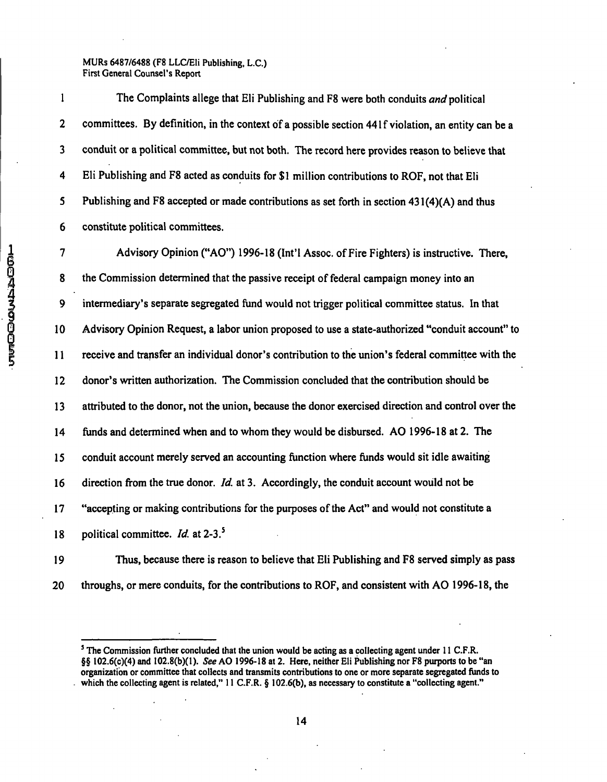1 The Complaints allege that Eli Publishing and F8 were both conduits and political 2 committees. By definition, in the context of a possible section 441f violation, an entity can be a 3 conduit or a political committee, but not both. The record here provides reason to believe that 4 Eli Publishing and F8 acted as conduits for \$1 million contributions to ROF, not that Eli 5 Publishing and F8 accepted or made contributions as set forth in section 431(4)(A) and thus 6 constitute political committees.

7 Advisory Opinion ("AO") 1996-18 (Int'l Assoc. of Fire Fighters) is instructive. There, 8 the Commission determined that the passive receipt of federal campaign money into an 9 intermediary's separate segregated fund would not trigger political committee status. In that 10 Advisory Opinion Request, a labor union proposed to use a state-authorized "conduit account" to 11 receive and transfer an individual donor's contribution to the union's federal committee with the 12 donor's written authorization. The Commission concluded that the contribution should be 13 attributed to the donor, not the union, because the donor exercised direction and control over the 14 funds and determined when and to whom they would be disbursed. AO 1996-18 at 2. The 15 conduit account merely served an accounting function where funds would sit idle awaiting 16 direction from the true donor. Id. at 3. Accordingly, the conduit account would not be 17 "accepting or making contributions for the purposes of the Act" and would not constitute a 18 political committee.  $Id$  at 2-3.<sup>5</sup>

19 Thus, because there is reason to believe that Eli Publishing and F8 served simply as pass 20 throughs, or mere conduits, for the contributions to ROF, and consistent with AO 1996-18, the

 $\degree$  The Commission further concluded that the union would be acting as a collecting agent under 11 C.F.R. §§ 102.6(c)(4) and 102.8(b)(1). See AO 1996-18 at 2. Here, neither Eli Publishing nor F8 purports to be "an organization or comminee that collects and transmits contributions to one or more separate segregated funds to which the collecting agent is related," 11 C.F.R. § 102.6(b), as necessary to constitute a "collecting agent."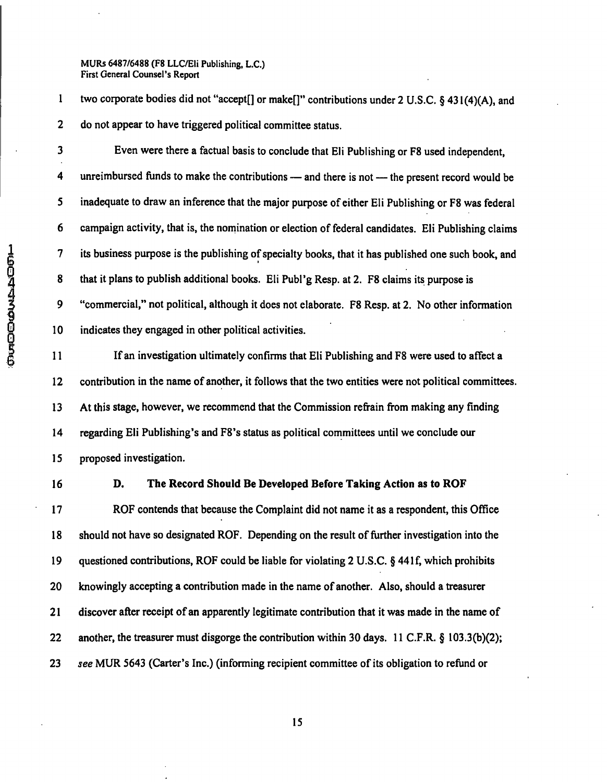1 two corporate bodies did not "accept[] or make[]" contributions under 2 U.S.C. § 431 (4)(A), and 2 do not appear to have triggered political committee status.

3 Even were there a factual basis to conclude that Eli Publishing or F8 used independent, 4 unreimbursed funds to make the contributions — and there is not — the present record would be 5 inadequate to draw an inference that the major purpose of either Eli Publishing or F8 was federal 6 campaign activity, that is, the nomination or election of federal candidates. Eli Publishing claims 7 its business purpose is the publishing of specialty books, that it has published one such book, and 8 that it plans to publish additional books. Eli Publ'g Resp. at 2. F8 claims its purpose is 9 "commercial," not political, although it does not elaborate. F8 Resp. at 2. No other information 10 indicates they engaged in other political activities.

11 If an investigation ultimately confirms that Eli Publishing and F8 were used to affect a 12 contribution in the name of another, it follows that the two entities were not political committees. 13 At this stage, however, we recommend that the Commission refrain from making any finding 14 regarding Eli Publishing's and F8's status as political committees until we conclude our 15 proposed investigation.

# **16 D. The Record Should Be Developed Before Taking Action as to ROF**

17 ROF contends that because the Complaint did not name it as a respondent, this Office 18 should not have so designated ROF. Depending on the result of further investigation into the 19 questioned contributions, ROF could be liable for violating 2 U.S.C. § 44If, which prohibits 20 knowingly accepting a contribution made in the name of another. Also, should a treasurer 21 discover after receipt of an apparently legitimate contribution that it was made in the name of 22 another, the treasurer must disgorge the contribution within 30 days. 11 C.F.R. § 103.3(b)(2); 23 see MUR 5643 (Carter's Inc.) (informing recipient committee of its obligation to refund or

**COCOCOONSACTOR**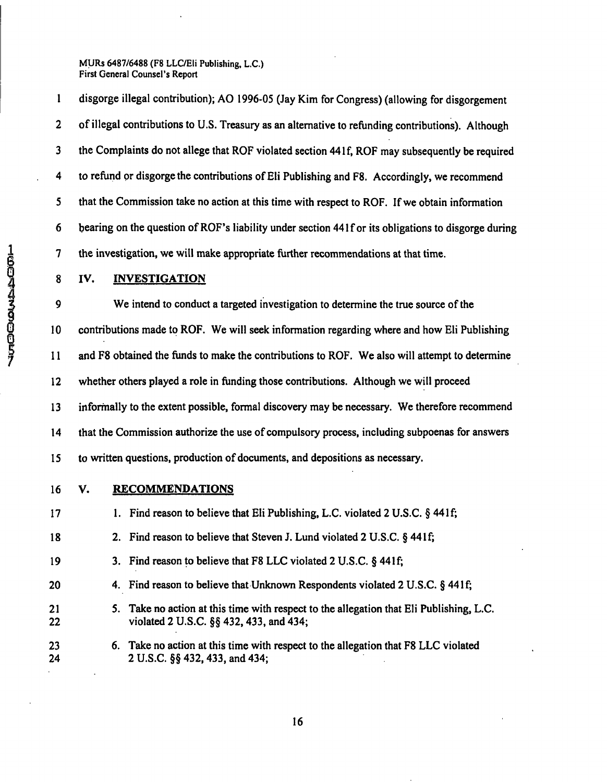1 disgorge illegal contribution); AO 1996-05 (Jay Kim for Congress) (allowing for disgorgement 2 of illegal contributions to U.S. Treasury as an alternative to refunding contributions). Although 3 the Complaints do not allege that ROF violated section 44If, ROF may subsequently be required 4 to refund or disgorge the contributions of Eli Publishing and F8. Accordingly, we recommend 5 that the Commission take no action at this time with respect to ROF. If we obtain information 6 bearing on the question of ROF's liability under section 441 f or its obligations to disgorge during 7 the investigation, we will make appropriate further recommendations at that time.

# 8 IV. INVESTIGATION

9 We intend to conduct a targeted investigation to determine the true source of the 10 contributions made to ROF. We will seek information regarding where and how Eli Publishing 11 and F8 obtained the funds to make the contributions to ROF. We also will attempt to determine 12 whether others played a role in funding those contributions. Although we will proceed 13 informally to the extent possible, formal discovery may be necessary. We therefore recommend 14 that the Commission authorize the use of compulsory process, including subpoenas for answers 15 to written questions, production of documents, and depositions as necessary.

- **16 V. RECOMMENDATIONS**
- 17 1. Find reason to believe that Eli Publishing, L.C. violated 2 U.S.C. § 441 f; 18 2. Find reason to believe that Steven J. Lund violated 2 U.S.C. § 441f; 19 3. Find reason to believe that F8 LLC violated 2 U.S.C. § 441f; 20 4. Find reason to believe that Unknown Respondents violated 2 U.S.C. § 441 f; 21 5. Take no action at this time with respect to the allegation that Eli Publishing, L.C. 22 violated 2 U.S.C. §§ 432,433, and 434; 23 6. Take no action at this time with respect to the allegation that F8 LLC violated 24 2 U.S.C. §§432,433, and 434;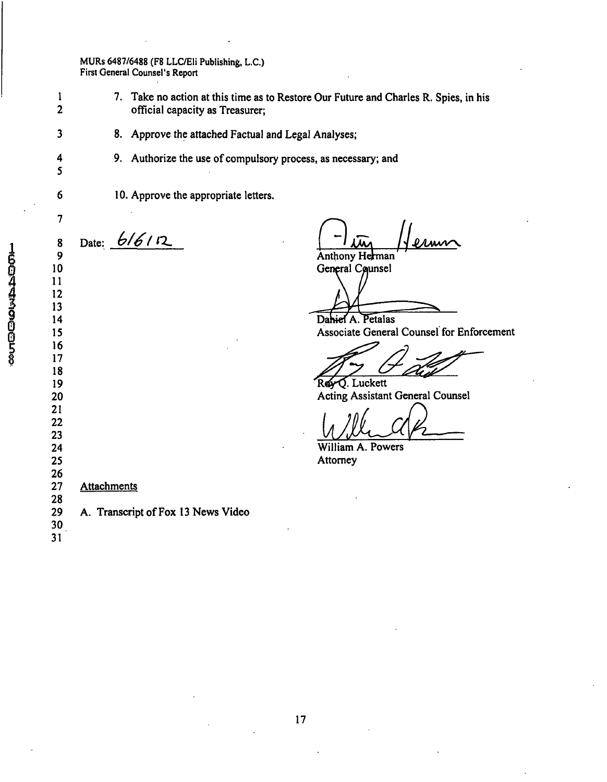- 7. Take no action at this time as to Restore Our Future and Charles R. Spies, in his official capacity as Treasurer;
	- 8. Approve the attached Factual and Legal Analyses;
	- 9. Authorize the use of compulsory process, as necessary; and
	- 10. Approve the appropriate letters.

Date:  $6/6/12$ 

<u>II in Herman</u>

General Counsel

Dahiel A. Petalas Associate General Counsel for Enforcement

Rev O. Luckett Acting Assistant General Counsel

William A. Powers Attorney

 

 **Attachments** 

 A. Transcript of Fox 13 News Video

 

 

 

 $\overline{\mathbf{3}}$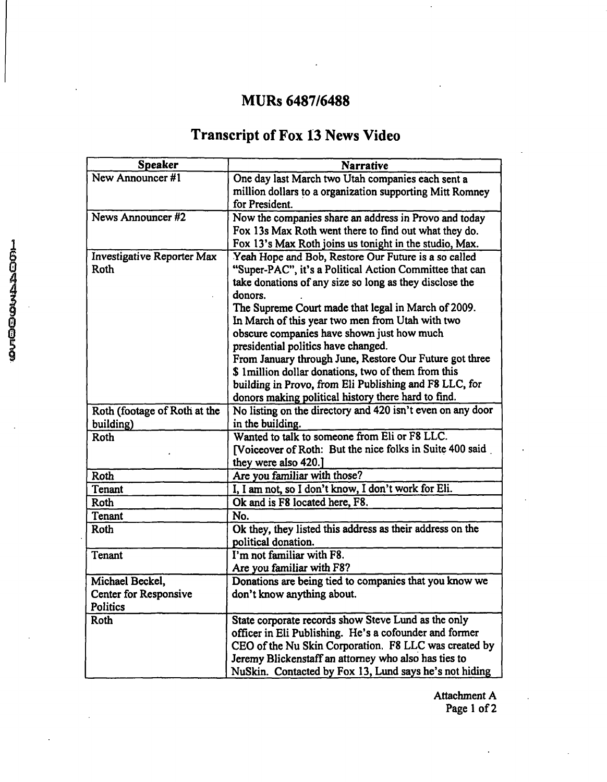# **MURs 6487/6488**

# **Transcript of Fox 13 News Video**

| <b>Speaker</b>               | <b>Narrative</b>                                           |
|------------------------------|------------------------------------------------------------|
| New Announcer #1             | One day last March two Utah companies each sent a          |
|                              | million dollars to a organization supporting Mitt Romney   |
|                              | for President.                                             |
| News Announcer #2            | Now the companies share an address in Provo and today      |
|                              | Fox 13s Max Roth went there to find out what they do.      |
|                              | Fox 13's Max Roth joins us tonight in the studio, Max.     |
| Investigative Reporter Max   | Yeah Hope and Bob, Restore Our Future is a so called       |
| <b>Roth</b>                  | "Super-PAC", it's a Political Action Committee that can    |
|                              | take donations of any size so long as they disclose the    |
|                              | donors.                                                    |
|                              | The Supreme Court made that legal in March of 2009.        |
|                              | In March of this year two men from Utah with two           |
|                              | obscure companies have shown just how much                 |
|                              | presidential politics have changed.                        |
|                              | From January through June, Restore Our Future got three    |
|                              | \$ 1 million dollar donations, two of them from this       |
|                              | building in Provo, from Eli Publishing and F8 LLC, for     |
|                              | donors making political history there hard to find.        |
| Roth (footage of Roth at the | No listing on the directory and 420 isn't even on any door |
| building)                    | in the building.                                           |
| Roth                         | Wanted to talk to someone from Eli or F8 LLC.              |
|                              | [Voiceover of Roth: But the nice folks in Suite 400 said   |
|                              | they were also 420.]                                       |
| Roth                         | Are you familiar with those?                               |
| Tenant                       | I, I am not, so I don't know, I don't work for Eli.        |
| Roth                         | Ok and is F8 located here, F8.                             |
| Tenant                       | No.                                                        |
| Roth                         | Ok they, they listed this address as their address on the  |
|                              | political donation.                                        |
| Tenant                       | I'm not familiar with F8.                                  |
|                              | Are you familiar with F8?                                  |
| Michael Beckel,              | Donations are being tied to companies that you know we     |
| <b>Center for Responsive</b> | don't know anything about.                                 |
| Politics                     |                                                            |
| Roth                         | State corporate records show Steve Lund as the only        |
|                              | officer in Eli Publishing. He's a cofounder and former     |
|                              | CEO of the Nu Skin Corporation. F8 LLC was created by      |
|                              | Jeremy Blickenstaff an attorney who also has ties to       |
|                              | NuSkin. Contacted by Fox 13, Lund says he's not hiding     |

Attachment A Page 1 of 2